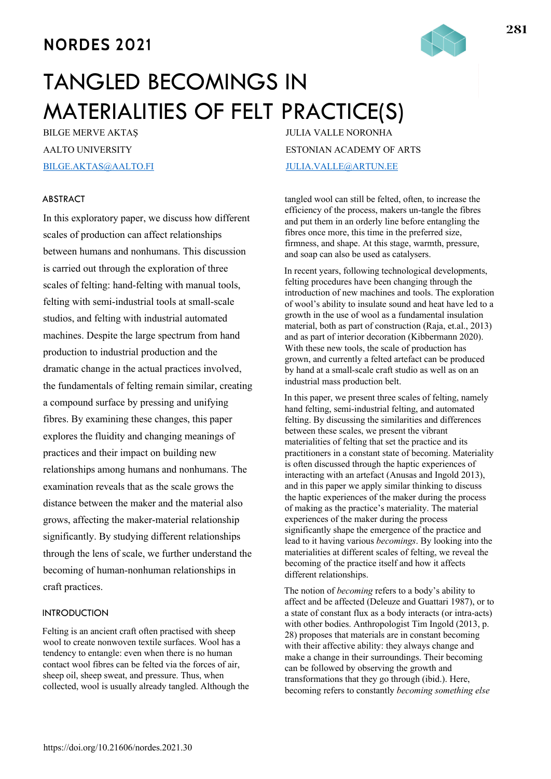# **NORDES 2021**



# TANGLED BECOMINGS IN MATERIALITIES OF FELT PRACTICE(S)

BILGE MERVE AKTAŞ AALTO UNIVERSITY BILGE.AKTAS@AALTO.FI

# ABSTRACT

In this exploratory paper, we discuss how different scales of production can affect relationships between humans and nonhumans. This discussion is carried out through the exploration of three scales of felting: hand-felting with manual tools, felting with semi-industrial tools at small-scale studios, and felting with industrial automated machines. Despite the large spectrum from hand production to industrial production and the dramatic change in the actual practices involved, the fundamentals of felting remain similar, creating a compound surface by pressing and unifying fibres. By examining these changes, this paper explores the fluidity and changing meanings of practices and their impact on building new relationships among humans and nonhumans. The examination reveals that as the scale grows the distance between the maker and the material also grows, affecting the maker-material relationship significantly. By studying different relationships through the lens of scale, we further understand the becoming of human-nonhuman relationships in craft practices.

# **INTRODUCTION**

Felting is an ancient craft often practised with sheep wool to create nonwoven textile surfaces. Wool has a tendency to entangle: even when there is no human contact wool fibres can be felted via the forces of air, sheep oil, sheep sweat, and pressure. Thus, when collected, wool is usually already tangled. Although the JULIA VALLE NORONHA ESTONIAN ACADEMY OF ARTS JULIA.VALLE@ARTUN.EE

tangled wool can still be felted, often, to increase the efficiency of the process, makers un-tangle the fibres and put them in an orderly line before entangling the fibres once more, this time in the preferred size, firmness, and shape. At this stage, warmth, pressure, and soap can also be used as catalysers.

In recent years, following technological developments, felting procedures have been changing through the introduction of new machines and tools. The exploration of wool's ability to insulate sound and heat have led to a growth in the use of wool as a fundamental insulation material, both as part of construction (Raja, et.al., 2013) and as part of interior decoration (Kibbermann 2020). With these new tools, the scale of production has grown, and currently a felted artefact can be produced by hand at a small-scale craft studio as well as on an industrial mass production belt.

In this paper, we present three scales of felting, namely hand felting, semi-industrial felting, and automated felting. By discussing the similarities and differences between these scales, we present the vibrant materialities of felting that set the practice and its practitioners in a constant state of becoming. Materiality is often discussed through the haptic experiences of interacting with an artefact (Anusas and Ingold 2013), and in this paper we apply similar thinking to discuss the haptic experiences of the maker during the process of making as the practice's materiality. The material experiences of the maker during the process significantly shape the emergence of the practice and lead to it having various *becomings*. By looking into the materialities at different scales of felting, we reveal the becoming of the practice itself and how it affects different relationships.

The notion of *becoming* refers to a body's ability to affect and be affected (Deleuze and Guattari 1987), or to a state of constant flux as a body interacts (or intra-acts) with other bodies. Anthropologist Tim Ingold (2013, p. 28) proposes that materials are in constant becoming with their affective ability: they always change and make a change in their surroundings. Their becoming can be followed by observing the growth and transformations that they go through (ibid.). Here, becoming refers to constantly *becoming something else*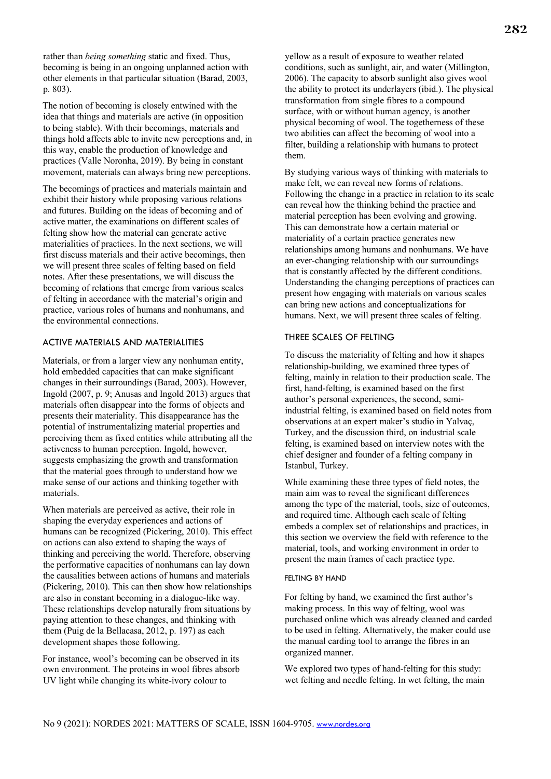rather than *being something* static and fixed. Thus, becoming is being in an ongoing unplanned action with other elements in that particular situation (Barad, 2003, p. 803).

The notion of becoming is closely entwined with the idea that things and materials are active (in opposition to being stable). With their becomings, materials and things hold affects able to invite new perceptions and, in this way, enable the production of knowledge and practices (Valle Noronha, 2019). By being in constant movement, materials can always bring new perceptions.

The becomings of practices and materials maintain and exhibit their history while proposing various relations and futures. Building on the ideas of becoming and of active matter, the examinations on different scales of felting show how the material can generate active materialities of practices. In the next sections, we will first discuss materials and their active becomings, then we will present three scales of felting based on field notes. After these presentations, we will discuss the becoming of relations that emerge from various scales of felting in accordance with the material's origin and practice, various roles of humans and nonhumans, and the environmental connections.

# ACTIVE MATERIALS AND MATERIALITIES

Materials, or from a larger view any nonhuman entity, hold embedded capacities that can make significant changes in their surroundings (Barad, 2003). However, Ingold (2007, p. 9; Anusas and Ingold 2013) argues that materials often disappear into the forms of objects and presents their materiality. This disappearance has the potential of instrumentalizing material properties and perceiving them as fixed entities while attributing all the activeness to human perception. Ingold, however, suggests emphasizing the growth and transformation that the material goes through to understand how we make sense of our actions and thinking together with materials.

When materials are perceived as active, their role in shaping the everyday experiences and actions of humans can be recognized (Pickering, 2010). This effect on actions can also extend to shaping the ways of thinking and perceiving the world. Therefore, observing the performative capacities of nonhumans can lay down the causalities between actions of humans and materials (Pickering, 2010). This can then show how relationships are also in constant becoming in a dialogue-like way. These relationships develop naturally from situations by paying attention to these changes, and thinking with them (Puig de la Bellacasa, 2012, p. 197) as each development shapes those following.

For instance, wool's becoming can be observed in its own environment. The proteins in wool fibres absorb UV light while changing its white-ivory colour to

yellow as a result of exposure to weather related conditions, such as sunlight, air, and water (Millington, 2006). The capacity to absorb sunlight also gives wool the ability to protect its underlayers (ibid.). The physical transformation from single fibres to a compound surface, with or without human agency, is another physical becoming of wool. The togetherness of these two abilities can affect the becoming of wool into a filter, building a relationship with humans to protect them.

By studying various ways of thinking with materials to make felt, we can reveal new forms of relations. Following the change in a practice in relation to its scale can reveal how the thinking behind the practice and material perception has been evolving and growing. This can demonstrate how a certain material or materiality of a certain practice generates new relationships among humans and nonhumans. We have an ever-changing relationship with our surroundings that is constantly affected by the different conditions. Understanding the changing perceptions of practices can present how engaging with materials on various scales can bring new actions and conceptualizations for humans. Next, we will present three scales of felting.

#### THREE SCALES OF FELTING

To discuss the materiality of felting and how it shapes relationship-building, we examined three types of felting, mainly in relation to their production scale. The first, hand-felting, is examined based on the first author's personal experiences, the second, semiindustrial felting, is examined based on field notes from observations at an expert maker's studio in Yalvaç, Turkey, and the discussion third, on industrial scale felting, is examined based on interview notes with the chief designer and founder of a felting company in Istanbul, Turkey.

While examining these three types of field notes, the main aim was to reveal the significant differences among the type of the material, tools, size of outcomes, and required time. Although each scale of felting embeds a complex set of relationships and practices, in this section we overview the field with reference to the material, tools, and working environment in order to present the main frames of each practice type.

#### FELTING BY HAND

For felting by hand, we examined the first author's making process. In this way of felting, wool was purchased online which was already cleaned and carded to be used in felting. Alternatively, the maker could use the manual carding tool to arrange the fibres in an organized manner.

We explored two types of hand-felting for this study: wet felting and needle felting. In wet felting, the main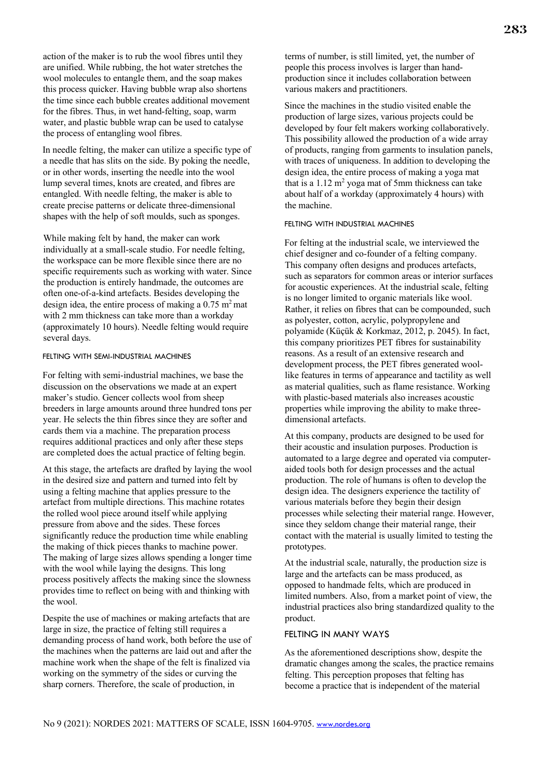action of the maker is to rub the wool fibres until they are unified. While rubbing, the hot water stretches the wool molecules to entangle them, and the soap makes this process quicker. Having bubble wrap also shortens the time since each bubble creates additional movement for the fibres. Thus, in wet hand-felting, soap, warm water, and plastic bubble wrap can be used to catalyse the process of entangling wool fibres.

In needle felting, the maker can utilize a specific type of a needle that has slits on the side. By poking the needle, or in other words, inserting the needle into the wool lump several times, knots are created, and fibres are entangled. With needle felting, the maker is able to create precise patterns or delicate three-dimensional shapes with the help of soft moulds, such as sponges.

While making felt by hand, the maker can work individually at a small-scale studio. For needle felting, the workspace can be more flexible since there are no specific requirements such as working with water. Since the production is entirely handmade, the outcomes are often one-of-a-kind artefacts. Besides developing the design idea, the entire process of making a  $0.75$  m<sup>2</sup> mat with 2 mm thickness can take more than a workday (approximately 10 hours). Needle felting would require several days.

#### FELTING WITH SEMI-INDUSTRIAL MACHINES

For felting with semi-industrial machines, we base the discussion on the observations we made at an expert maker's studio. Gencer collects wool from sheep breeders in large amounts around three hundred tons per year. He selects the thin fibres since they are softer and cards them via a machine. The preparation process requires additional practices and only after these steps are completed does the actual practice of felting begin.

At this stage, the artefacts are drafted by laying the wool in the desired size and pattern and turned into felt by using a felting machine that applies pressure to the artefact from multiple directions. This machine rotates the rolled wool piece around itself while applying pressure from above and the sides. These forces significantly reduce the production time while enabling the making of thick pieces thanks to machine power. The making of large sizes allows spending a longer time with the wool while laying the designs. This long process positively affects the making since the slowness provides time to reflect on being with and thinking with the wool.

Despite the use of machines or making artefacts that are large in size, the practice of felting still requires a demanding process of hand work, both before the use of the machines when the patterns are laid out and after the machine work when the shape of the felt is finalized via working on the symmetry of the sides or curving the sharp corners. Therefore, the scale of production, in

terms of number, is still limited, yet, the number of people this process involves is larger than handproduction since it includes collaboration between various makers and practitioners.

Since the machines in the studio visited enable the production of large sizes, various projects could be developed by four felt makers working collaboratively. This possibility allowed the production of a wide array of products, ranging from garments to insulation panels, with traces of uniqueness. In addition to developing the design idea, the entire process of making a yoga mat that is a  $1.12 \text{ m}^2$  yoga mat of 5mm thickness can take about half of a workday (approximately 4 hours) with the machine.

#### FELTING WITH INDUSTRIAL MACHINES

For felting at the industrial scale, we interviewed the chief designer and co-founder of a felting company. This company often designs and produces artefacts, such as separators for common areas or interior surfaces for acoustic experiences. At the industrial scale, felting is no longer limited to organic materials like wool. Rather, it relies on fibres that can be compounded, such as polyester, cotton, acrylic, polypropylene and polyamide (Küçük & Korkmaz, 2012, p. 2045). In fact, this company prioritizes PET fibres for sustainability reasons. As a result of an extensive research and development process, the PET fibres generated woollike features in terms of appearance and tactility as well as material qualities, such as flame resistance. Working with plastic-based materials also increases acoustic properties while improving the ability to make threedimensional artefacts.

At this company, products are designed to be used for their acoustic and insulation purposes. Production is automated to a large degree and operated via computeraided tools both for design processes and the actual production. The role of humans is often to develop the design idea. The designers experience the tactility of various materials before they begin their design processes while selecting their material range. However, since they seldom change their material range, their contact with the material is usually limited to testing the prototypes.

At the industrial scale, naturally, the production size is large and the artefacts can be mass produced, as opposed to handmade felts, which are produced in limited numbers. Also, from a market point of view, the industrial practices also bring standardized quality to the product.

## FELTING IN MANY WAYS

As the aforementioned descriptions show, despite the dramatic changes among the scales, the practice remains felting. This perception proposes that felting has become a practice that is independent of the material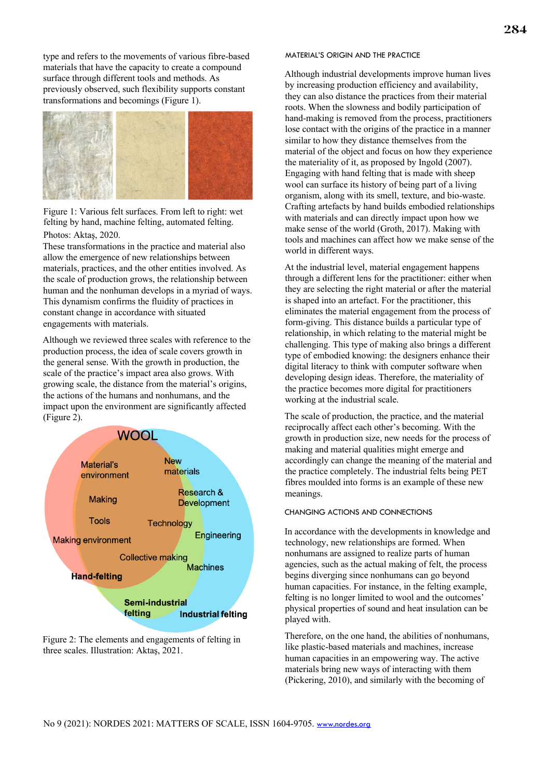type and refers to the movements of various fibre-based materials that have the capacity to create a compound surface through different tools and methods. As previously observed, such flexibility supports constant transformations and becomings (Figure 1).



Figure 1: Various felt surfaces. From left to right: wet felting by hand, machine felting, automated felting. Photos: Aktaş, 2020.

These transformations in the practice and material also allow the emergence of new relationships between materials, practices, and the other entities involved. As the scale of production grows, the relationship between human and the nonhuman develops in a myriad of ways. This dynamism confirms the fluidity of practices in constant change in accordance with situated engagements with materials.

Although we reviewed three scales with reference to the production process, the idea of scale covers growth in the general sense. With the growth in production, the scale of the practice's impact area also grows. With growing scale, the distance from the material's origins, the actions of the humans and nonhumans, and the impact upon the environment are significantly affected (Figure 2).



Figure 2: The elements and engagements of felting in three scales. Illustration: Aktaş, 2021.

#### MATERIAL'S ORIGIN AND THE PRACTICE

Although industrial developments improve human lives by increasing production efficiency and availability, they can also distance the practices from their material roots. When the slowness and bodily participation of hand-making is removed from the process, practitioners lose contact with the origins of the practice in a manner similar to how they distance themselves from the material of the object and focus on how they experience the materiality of it, as proposed by Ingold (2007). Engaging with hand felting that is made with sheep wool can surface its history of being part of a living organism, along with its smell, texture, and bio-waste. Crafting artefacts by hand builds embodied relationships with materials and can directly impact upon how we make sense of the world (Groth, 2017). Making with tools and machines can affect how we make sense of the world in different ways.

At the industrial level, material engagement happens through a different lens for the practitioner: either when they are selecting the right material or after the material is shaped into an artefact. For the practitioner, this eliminates the material engagement from the process of form-giving. This distance builds a particular type of relationship, in which relating to the material might be challenging. This type of making also brings a different type of embodied knowing: the designers enhance their digital literacy to think with computer software when developing design ideas. Therefore, the materiality of the practice becomes more digital for practitioners working at the industrial scale.

The scale of production, the practice, and the material reciprocally affect each other's becoming. With the growth in production size, new needs for the process of making and material qualities might emerge and accordingly can change the meaning of the material and the practice completely. The industrial felts being PET fibres moulded into forms is an example of these new meanings.

#### CHANGING ACTIONS AND CONNECTIONS

In accordance with the developments in knowledge and technology, new relationships are formed. When nonhumans are assigned to realize parts of human agencies, such as the actual making of felt, the process begins diverging since nonhumans can go beyond human capacities. For instance, in the felting example, felting is no longer limited to wool and the outcomes' physical properties of sound and heat insulation can be played with.

Therefore, on the one hand, the abilities of nonhumans, like plastic-based materials and machines, increase human capacities in an empowering way. The active materials bring new ways of interacting with them (Pickering, 2010), and similarly with the becoming of